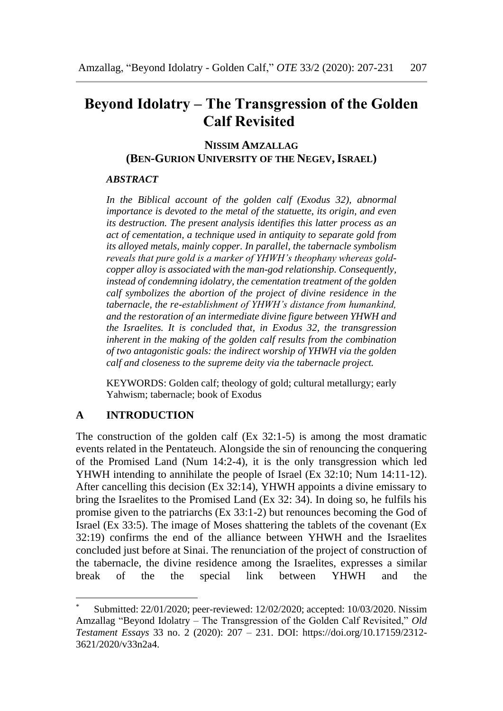# **Beyond Idolatry – The Transgression of the Golden Calf Revisited\***

### **NISSIM AMZALLAG (BEN-GURION UNIVERSITY OF THE NEGEV,ISRAEL)**

### *ABSTRACT*

*In the Biblical account of the golden calf (Exodus 32), abnormal importance is devoted to the metal of the statuette, its origin, and even its destruction. The present analysis identifies this latter process as an act of cementation, a technique used in antiquity to separate gold from its alloyed metals, mainly copper. In parallel, the tabernacle symbolism reveals that pure gold is a marker of YHWH's theophany whereas goldcopper alloy is associated with the man-god relationship. Consequently, instead of condemning idolatry, the cementation treatment of the golden calf symbolizes the abortion of the project of divine residence in the tabernacle, the re-establishment of YHWH's distance from humankind, and the restoration of an intermediate divine figure between YHWH and the Israelites. It is concluded that, in Exodus 32, the transgression inherent in the making of the golden calf results from the combination of two antagonistic goals: the indirect worship of YHWH via the golden calf and closeness to the supreme deity via the tabernacle project.*

KEYWORDS: Golden calf; theology of gold; cultural metallurgy; early Yahwism; tabernacle; book of Exodus

# **A INTRODUCTION**

The construction of the golden calf (Ex 32:1-5) is among the most dramatic events related in the Pentateuch. Alongside the sin of renouncing the conquering of the Promised Land (Num 14:2-4), it is the only transgression which led YHWH intending to annihilate the people of Israel (Ex 32:10; Num 14:11-12). After cancelling this decision (Ex 32:14), YHWH appoints a divine emissary to bring the Israelites to the Promised Land (Ex 32: 34). In doing so, he fulfils his promise given to the patriarchs (Ex 33:1-2) but renounces becoming the God of Israel (Ex 33:5). The image of Moses shattering the tablets of the covenant (Ex 32:19) confirms the end of the alliance between YHWH and the Israelites concluded just before at Sinai. The renunciation of the project of construction of the tabernacle, the divine residence among the Israelites, expresses a similar break of the the special link between YHWH and the

Submitted: 22/01/2020; peer-reviewed: 12/02/2020; accepted: 10/03/2020. Nissim Amzallag "Beyond Idolatry – The Transgression of the Golden Calf Revisited," *Old Testament Essays* 33 no. 2 (2020): 207 – 231. DOI: https://doi.org/10.17159/2312- 3621/2020/v33n2a4.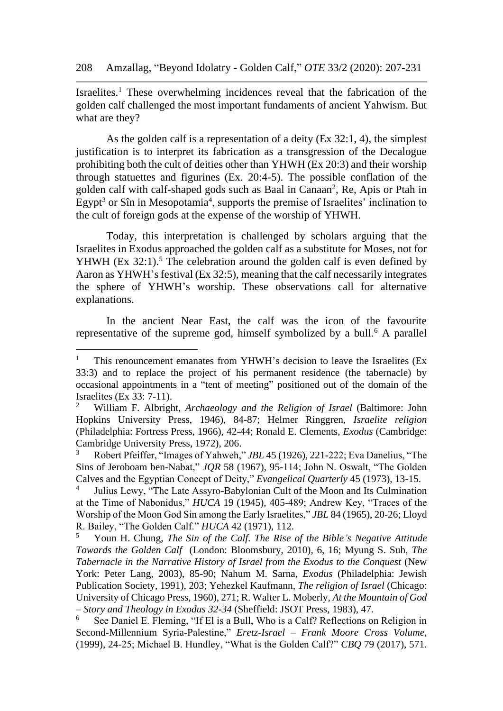Israelites. <sup>1</sup> These overwhelming incidences reveal that the fabrication of the golden calf challenged the most important fundaments of ancient Yahwism. But what are they?

As the golden calf is a representation of a deity (Ex 32:1, 4), the simplest justification is to interpret its fabrication as a transgression of the Decalogue prohibiting both the cult of deities other than YHWH (Ex 20:3) and their worship through statuettes and figurines (Ex. 20:4-5). The possible conflation of the golden calf with calf-shaped gods such as Baal in Canaan<sup>2</sup>, Re, Apis or Ptah in Egypt<sup>3</sup> or Sîn in Mesopotamia<sup>4</sup>, supports the premise of Israelites' inclination to the cult of foreign gods at the expense of the worship of YHWH.

Today, this interpretation is challenged by scholars arguing that the Israelites in Exodus approached the golden calf as a substitute for Moses, not for YHWH (Ex  $32:1$ ).<sup>5</sup> The celebration around the golden calf is even defined by Aaron as YHWH's festival (Ex 32:5), meaning that the calf necessarily integrates the sphere of YHWH's worship. These observations call for alternative explanations.

In the ancient Near East, the calf was the icon of the favourite representative of the supreme god, himself symbolized by a bull.<sup>6</sup> A parallel

<sup>&</sup>lt;sup>1</sup> This renouncement emanates from YHWH's decision to leave the Israelites (Ex 33:3) and to replace the project of his permanent residence (the tabernacle) by occasional appointments in a "tent of meeting" positioned out of the domain of the Israelites (Ex 33: 7-11).

<sup>2</sup> William F. Albright, *Archaeology and the Religion of Israel* (Baltimore: John Hopkins University Press, 1946), 84-87; Helmer Ringgren, *Israelite religion* (Philadelphia: Fortress Press, 1966), 42-44; Ronald E. Clements, *Exodus* (Cambridge: Cambridge University Press, 1972), 206.

<sup>3</sup> Robert Pfeiffer, "Images of Yahweh," *JBL* 45 (1926), 221-222; Eva Danelius, "The Sins of Jeroboam ben-Nabat," *JQR* 58 (1967), 95-114; John N. Oswalt, "The Golden Calves and the Egyptian Concept of Deity," *Evangelical Quarterly* 45 (1973), 13-15.

<sup>4</sup> Julius Lewy, "The Late Assyro-Babylonian Cult of the Moon and Its Culmination at the Time of Nabonidus," *HUCA* 19 (1945), 405-489; Andrew Key, "Traces of the Worship of the Moon God Sin among the Early Israelites," *JBL* 84 (1965), 20-26; Lloyd R. Bailey, "The Golden Calf." *HUCA* 42 (1971), 112.

<sup>5</sup> Youn H. Chung, *The Sin of the Calf. The Rise of the Bible's Negative Attitude Towards the Golden Calf* (London: Bloomsbury, 2010), 6, 16; Myung S. Suh, *The Tabernacle in the Narrative History of Israel from the Exodus to the Conquest* (New York: Peter Lang, 2003), 85-90; Nahum M. Sarna, *Exodus* (Philadelphia: Jewish Publication Society, 1991), 203; Yehezkel Kaufmann, *The religion of Israel* (Chicago: University of Chicago Press, 1960), 271; R. Walter L. Moberly, *At the Mountain of God – Story and Theology in Exodus 32-34* (Sheffield: JSOT Press, 1983), 47.

See Daniel E. Fleming, "If El is a Bull, Who is a Calf? Reflections on Religion in Second-Millennium Syria-Palestine," *Eretz-Israel – Frank Moore Cross Volume*, (1999), 24-25; Michael B. Hundley, "What is the Golden Calf?" *CBQ* 79 (2017), 571.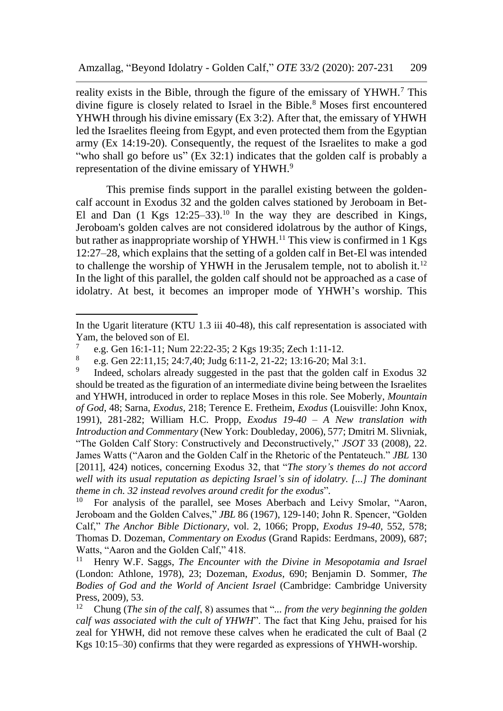reality exists in the Bible, through the figure of the emissary of YHWH.<sup>7</sup> This divine figure is closely related to Israel in the Bible.<sup>8</sup> Moses first encountered YHWH through his divine emissary (Ex 3:2). After that, the emissary of YHWH led the Israelites fleeing from Egypt, and even protected them from the Egyptian army (Ex 14:19-20). Consequently, the request of the Israelites to make a god "who shall go before us" (Ex 32:1) indicates that the golden calf is probably a representation of the divine emissary of YHWH.<sup>9</sup>

This premise finds support in the parallel existing between the goldencalf account in Exodus 32 and the golden calves stationed by Jeroboam in Bet-El and Dan  $(1 \text{ Kgs } 12:25-33).$ <sup>10</sup> In the way they are described in Kings, Jeroboam's golden calves are not considered idolatrous by the author of Kings, but rather as inappropriate worship of YHWH.<sup>11</sup> This view is confirmed in 1 Kgs 12:27–28, which explains that the setting of a golden calf in Bet-El was intended to challenge the worship of YHWH in the Jerusalem temple, not to abolish it.<sup>12</sup> In the light of this parallel, the golden calf should not be approached as a case of idolatry. At best, it becomes an improper mode of YHWH's worship. This

In the Ugarit literature (KTU 1.3 iii 40-48), this calf representation is associated with Yam, the beloved son of El.

<sup>7</sup> e.g. Gen 16:1-11; Num 22:22-35; 2 Kgs 19:35; Zech 1:11-12.

<sup>8</sup> e.g. Gen 22:11,15; 24:7,40; Judg 6:11-2, 21-22; 13:16-20; Mal 3:1.

<sup>9</sup> Indeed, scholars already suggested in the past that the golden calf in Exodus 32 should be treated as the figuration of an intermediate divine being between the Israelites and YHWH, introduced in order to replace Moses in this role. See Moberly, *Mountain of God*, 48; Sarna, *Exodus*, 218; Terence E. Fretheim, *Exodus* (Louisville: John Knox, 1991), 281-282; William H.C. Propp, *Exodus 19-40 – A New translation with Introduction and Commentary* (New York: Doubleday, 2006), 577; Dmitri M. Slivniak, "The Golden Calf Story: Constructively and Deconstructively," *JSOT* 33 (2008), 22. James Watts ("Aaron and the Golden Calf in the Rhetoric of the Pentateuch." *JBL* 130 [2011], 424) notices, concerning Exodus 32, that "*The story's themes do not accord well with its usual reputation as depicting Israel's sin of idolatry. [...] The dominant theme in ch. 32 instead revolves around credit for the exodus*"*.*

 $10$  For analysis of the parallel, see Moses Aberbach and Leivy Smolar, "Aaron, Jeroboam and the Golden Calves," *JBL* 86 (1967), 129-140; John R. Spencer, "Golden Calf," *The Anchor Bible Dictionary*, vol. 2, 1066; Propp, *Exodus 19-40*, 552, 578; Thomas D. Dozeman, *Commentary on Exodus* (Grand Rapids: Eerdmans, 2009), 687; Watts, "Aaron and the Golden Calf," 418.<br> $\frac{11}{11}$  Henry W.E. Saggs. The Encounter is

<sup>11</sup> Henry W.F. Saggs, *The Encounter with the Divine in Mesopotamia and Israel* (London: Athlone, 1978), 23; Dozeman, *Exodus*, 690; Benjamin D. Sommer, *The Bodies of God and the World of Ancient Israel* (Cambridge: Cambridge University Press, 2009), 53.

<sup>12</sup> Chung (*The sin of the calf*, 8) assumes that "*... from the very beginning the golden calf was associated with the cult of YHWH*". The fact that King Jehu, praised for his zeal for YHWH, did not remove these calves when he eradicated the cult of Baal (2 Kgs 10:15–30) confirms that they were regarded as expressions of YHWH-worship.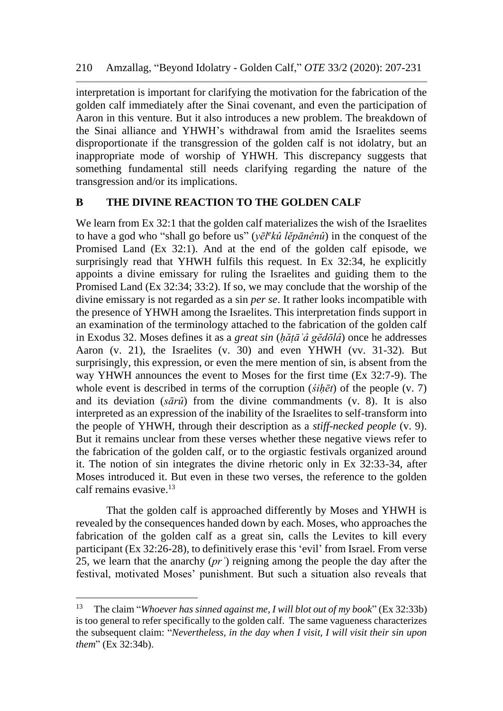interpretation is important for clarifying the motivation for the fabrication of the golden calf immediately after the Sinai covenant, and even the participation of Aaron in this venture. But it also introduces a new problem. The breakdown of the Sinai alliance and YHWH's withdrawal from amid the Israelites seems disproportionate if the transgression of the golden calf is not idolatry, but an inappropriate mode of worship of YHWH. This discrepancy suggests that something fundamental still needs clarifying regarding the nature of the transgression and/or its implications.

### **B THE DIVINE REACTION TO THE GOLDEN CALF**

We learn from Ex 32:1 that the golden calf materializes the wish of the Israelites to have a god who "shall go before us" (*yēl<sup>e</sup> kû lĕpānênû*) in the conquest of the Promised Land (Ex 32:1). And at the end of the golden calf episode, we surprisingly read that YHWH fulfils this request. In Ex 32:34, he explicitly appoints a divine emissary for ruling the Israelites and guiding them to the Promised Land (Ex 32:34; 33:2). If so, we may conclude that the worship of the divine emissary is not regarded as a sin *per se*. It rather looks incompatible with the presence of YHWH among the Israelites. This interpretation finds support in an examination of the terminology attached to the fabrication of the golden calf in Exodus 32. Moses defines it as a *great sin* (*ḥăṭāʾâ gĕdōlâ*) once he addresses Aaron (v. 21), the Israelites (v. 30) and even YHWH (vv. 31-32). But surprisingly, this expression, or even the mere mention of sin, is absent from the way YHWH announces the event to Moses for the first time (Ex 32:7-9). The whole event is described in terms of the corruption (*śiḥēt*) of the people (v. 7) and its deviation (*sārû*) from the divine commandments (v. 8). It is also interpreted as an expression of the inability of the Israelites to self-transform into the people of YHWH, through their description as a *stiff-necked people* (v. 9). But it remains unclear from these verses whether these negative views refer to the fabrication of the golden calf, or to the orgiastic festivals organized around it. The notion of sin integrates the divine rhetoric only in Ex 32:33-34, after Moses introduced it. But even in these two verses, the reference to the golden calf remains evasive.<sup>13</sup>

That the golden calf is approached differently by Moses and YHWH is revealed by the consequences handed down by each. Moses, who approaches the fabrication of the golden calf as a great sin, calls the Levites to kill every participant (Ex 32:26-28), to definitively erase this 'evil' from Israel. From verse 25, we learn that the anarchy (*prʿ*) reigning among the people the day after the festival, motivated Moses' punishment. But such a situation also reveals that

<sup>13</sup> The claim "*Whoever has sinned against me, I will blot out of my book*" (Ex 32:33b) is too general to refer specifically to the golden calf. The same vagueness characterizes the subsequent claim: "*Nevertheless, in the day when I visit, I will visit their sin upon them*" (Ex 32:34b).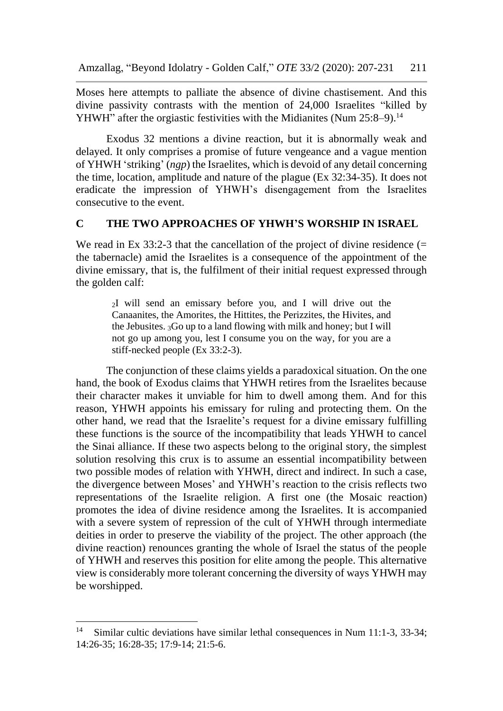Moses here attempts to palliate the absence of divine chastisement. And this divine passivity contrasts with the mention of 24,000 Israelites "killed by YHWH" after the orgiastic festivities with the Midianites (Num 25:8–9).<sup>14</sup>

Exodus 32 mentions a divine reaction, but it is abnormally weak and delayed. It only comprises a promise of future vengeance and a vague mention of YHWH 'striking' (*ngp*) the Israelites, which is devoid of any detail concerning the time, location, amplitude and nature of the plague (Ex 32:34-35). It does not eradicate the impression of YHWH's disengagement from the Israelites consecutive to the event.

#### **C THE TWO APPROACHES OF YHWH'S WORSHIP IN ISRAEL**

We read in Ex  $33:2-3$  that the cancellation of the project of divine residence (= the tabernacle) amid the Israelites is a consequence of the appointment of the divine emissary, that is, the fulfilment of their initial request expressed through the golden calf:

<sup>2</sup>I will send an emissary before you, and I will drive out the Canaanites, the Amorites, the Hittites, the Perizzites, the Hivites, and the Jebusites. 3Go up to a land flowing with milk and honey; but I will not go up among you, lest I consume you on the way, for you are a stiff-necked people (Ex 33:2-3).

The conjunction of these claims yields a paradoxical situation. On the one hand, the book of Exodus claims that YHWH retires from the Israelites because their character makes it unviable for him to dwell among them. And for this reason, YHWH appoints his emissary for ruling and protecting them. On the other hand, we read that the Israelite's request for a divine emissary fulfilling these functions is the source of the incompatibility that leads YHWH to cancel the Sinai alliance. If these two aspects belong to the original story, the simplest solution resolving this crux is to assume an essential incompatibility between two possible modes of relation with YHWH, direct and indirect. In such a case, the divergence between Moses' and YHWH's reaction to the crisis reflects two representations of the Israelite religion. A first one (the Mosaic reaction) promotes the idea of divine residence among the Israelites. It is accompanied with a severe system of repression of the cult of YHWH through intermediate deities in order to preserve the viability of the project. The other approach (the divine reaction) renounces granting the whole of Israel the status of the people of YHWH and reserves this position for elite among the people. This alternative view is considerably more tolerant concerning the diversity of ways YHWH may be worshipped.

<sup>&</sup>lt;sup>14</sup> Similar cultic deviations have similar lethal consequences in Num 11:1-3, 33-34; 14:26-35; 16:28-35; 17:9-14; 21:5-6.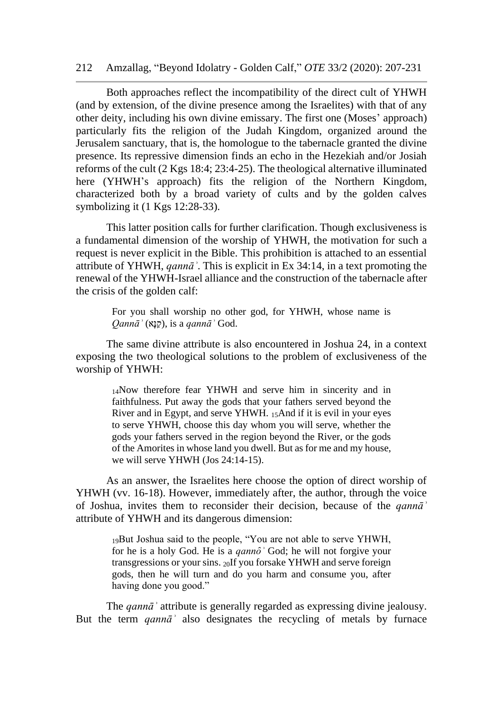#### 212 Amzallag, "Beyond Idolatry - Golden Calf," *OTE* 33/2 (2020): 207-231

Both approaches reflect the incompatibility of the direct cult of YHWH (and by extension, of the divine presence among the Israelites) with that of any other deity, including his own divine emissary. The first one (Moses' approach) particularly fits the religion of the Judah Kingdom, organized around the Jerusalem sanctuary, that is, the homologue to the tabernacle granted the divine presence. Its repressive dimension finds an echo in the Hezekiah and/or Josiah reforms of the cult (2 Kgs 18:4; 23:4-25). The theological alternative illuminated here (YHWH's approach) fits the religion of the Northern Kingdom, characterized both by a broad variety of cults and by the golden calves symbolizing it (1 Kgs 12:28-33).

This latter position calls for further clarification. Though exclusiveness is a fundamental dimension of the worship of YHWH, the motivation for such a request is never explicit in the Bible. This prohibition is attached to an essential attribute of YHWH, *qannāʾ*. This is explicit in Ex 34:14, in a text promoting the renewal of the YHWH-Israel alliance and the construction of the tabernacle after the crisis of the golden calf:

For you shall worship no other god, for YHWH, whose name is *Qannāʾ* (אָּנַק(, is a *qannāʾ* God.

The same divine attribute is also encountered in Joshua 24, in a context exposing the two theological solutions to the problem of exclusiveness of the worship of YHWH:

> <sup>14</sup>Now therefore fear YHWH and serve him in sincerity and in faithfulness. Put away the gods that your fathers served beyond the River and in Egypt, and serve YHWH. 15And if it is evil in your eyes to serve YHWH, choose this day whom you will serve, whether the gods your fathers served in the region beyond the River, or the gods of the Amorites in whose land you dwell. But as for me and my house, we will serve YHWH (Jos 24:14-15).

As an answer, the Israelites here choose the option of direct worship of YHWH (vv. 16-18). However, immediately after, the author, through the voice of Joshua, invites them to reconsider their decision, because of the *qannāʾ* attribute of YHWH and its dangerous dimension:

> <sup>19</sup>But Joshua said to the people, "You are not able to serve YHWH, for he is a holy God. He is a *qannô* God; he will not forgive your transgressions or your sins. 20If you forsake YHWH and serve foreign gods, then he will turn and do you harm and consume you, after having done you good."

The *qannāʾ* attribute is generally regarded as expressing divine jealousy. But the term *qannāʾ* also designates the recycling of metals by furnace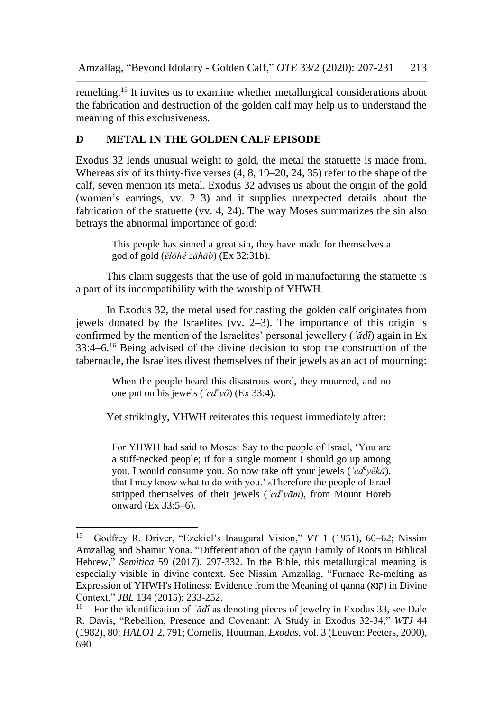remelting.<sup>15</sup> It invites us to examine whether metallurgical considerations about the fabrication and destruction of the golden calf may help us to understand the meaning of this exclusiveness.

# **D METAL IN THE GOLDEN CALF EPISODE**

Exodus 32 lends unusual weight to gold, the metal the statuette is made from. Whereas six of its thirty-five verses (4, 8, 19–20, 24, 35) refer to the shape of the calf, seven mention its metal. Exodus 32 advises us about the origin of the gold (women's earrings, vv. 2–3) and it supplies unexpected details about the fabrication of the statuette (vv. 4, 24). The way Moses summarizes the sin also betrays the abnormal importance of gold:

> This people has sinned a great sin, they have made for themselves a god of gold (*ĕlōhê zāhāb*) (Ex 32:31b).

This claim suggests that the use of gold in manufacturing the statuette is a part of its incompatibility with the worship of YHWH.

In Exodus 32, the metal used for casting the golden calf originates from jewels donated by the Israelites (vv. 2–3). The importance of this origin is confirmed by the mention of the Israelites' personal jewellery (*ʿădî*) again in Ex 33:4–6.<sup>16</sup> Being advised of the divine decision to stop the construction of the tabernacle, the Israelites divest themselves of their jewels as an act of mourning:

> When the people heard this disastrous word, they mourned, and no one put on his jewels ( $\langle ed^{\ell}y\hat{o}\rangle$  (Ex 33:4).

Yet strikingly, YHWH reiterates this request immediately after:

For YHWH had said to Moses: Say to the people of Israel, 'You are a stiff-necked people; if for a single moment I should go up among you, I would consume you. So now take off your jewels (*ʿed<sup>e</sup> yĕkā*), that I may know what to do with you.'  $_6$ Therefore the people of Israel stripped themselves of their jewels (*ʿed<sup>e</sup> yām*), from Mount Horeb onward (Ex 33:5–6).

<sup>15</sup> Godfrey R. Driver, "Ezekiel's Inaugural Vision," *VT* 1 (1951), 60–62; Nissim Amzallag and Shamir Yona. "Differentiation of the qayin Family of Roots in Biblical Hebrew," *Semitica* 59 (2017), 297-332. In the Bible, this metallurgical meaning is especially visible in divine context. See Nissim Amzallag, "Furnace Re-melting as Expression of YHWH's Holiness: Evidence from the Meaning of qanna (קנא) in Divine Context," *JBL* 134 (2015): 233-252.

<sup>16</sup> For the identification of *ʿădî* as denoting pieces of jewelry in Exodus 33, see Dale R. Davis, "Rebellion, Presence and Covenant: A Study in Exodus 32-34," *WTJ* 44 (1982), 80; *HALOT* 2, 791; Cornelis, Houtman, *Exodus*, vol. 3 (Leuven: Peeters, 2000), 690.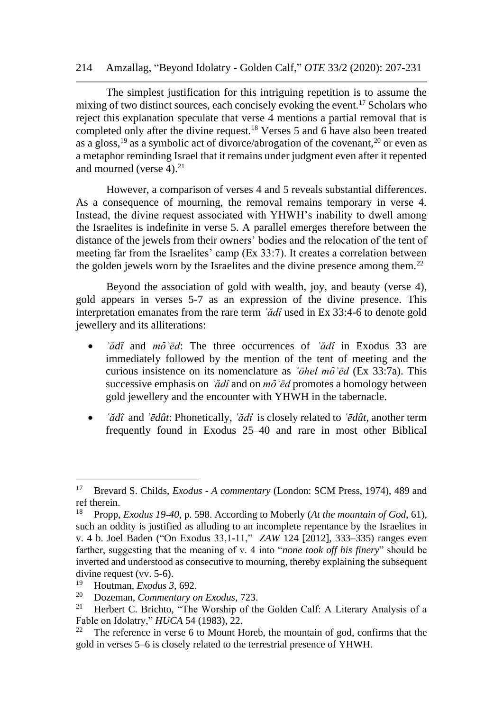The simplest justification for this intriguing repetition is to assume the mixing of two distinct sources, each concisely evoking the event.<sup>17</sup> Scholars who reject this explanation speculate that verse 4 mentions a partial removal that is completed only after the divine request.<sup>18</sup> Verses 5 and 6 have also been treated as a gloss,  $^{19}$  as a symbolic act of divorce/abrogation of the covenant,  $^{20}$  or even as a metaphor reminding Israel that it remains under judgment even after it repented and mourned (verse  $4$ ).<sup>21</sup>

However, a comparison of verses 4 and 5 reveals substantial differences. As a consequence of mourning, the removal remains temporary in verse 4. Instead, the divine request associated with YHWH's inability to dwell among the Israelites is indefinite in verse 5. A parallel emerges therefore between the distance of the jewels from their owners' bodies and the relocation of the tent of meeting far from the Israelites' camp (Ex 33:7). It creates a correlation between the golden jewels worn by the Israelites and the divine presence among them.<sup>22</sup>

Beyond the association of gold with wealth, joy, and beauty (verse 4), gold appears in verses 5-7 as an expression of the divine presence. This interpretation emanates from the rare term *ʿădî* used in Ex 33:4-6 to denote gold jewellery and its alliterations:

- *`ădî* and *mô `ēd*: The three occurrences of *`ădî* in Exodus 33 are immediately followed by the mention of the tent of meeting and the curious insistence on its nomenclature as *ʾōhel mȏʿēd* (Ex 33:7a). This successive emphasis on *ʿădî* and on *mȏʿēd* promotes a homology between gold jewellery and the encounter with YHWH in the tabernacle.
- *ʿădî* and *ʿēdût*: Phonetically, *ʿădî* is closely related to *ʿēdût*, another term frequently found in Exodus 25–40 and rare in most other Biblical

<sup>17</sup> Brevard S. Childs, *Exodus - A commentary* (London: SCM Press, 1974), 489 and ref therein.

<sup>18</sup> Propp, *Exodus 19-40*, p. 598. According to Moberly (*At the mountain of God*, 61), such an oddity is justified as alluding to an incomplete repentance by the Israelites in v. 4 b. Joel Baden ("On Exodus 33,1-11," *ZAW* 124 [2012], 333–335) ranges even farther, suggesting that the meaning of v. 4 into "*none took off his finery*" should be inverted and understood as consecutive to mourning, thereby explaining the subsequent divine request (vv. 5-6).<br> $\frac{19}{12}$  Houtman *Freduc*<sup>2</sup>

<sup>19</sup> Houtman, *Exodus 3*, 692.

<sup>20</sup> Dozeman, *Commentary on Exodus*, 723.

Herbert C. Brichto, "The Worship of the Golden Calf: A Literary Analysis of a Fable on Idolatry," *HUCA* 54 (1983), 22.

<sup>&</sup>lt;sup>22</sup> The reference in verse 6 to Mount Horeb, the mountain of god, confirms that the gold in verses 5–6 is closely related to the terrestrial presence of YHWH.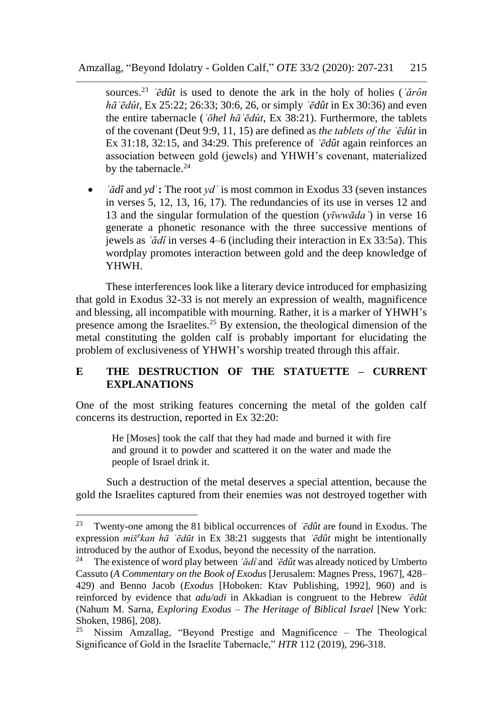sources.<sup>23</sup> *Édût* is used to denote the ark in the holy of holies (*'ărôn hāʿēdût*, Ex 25:22; 26:33; 30:6, 26, or simply *ʿēdût* in Ex 30:36) and even the entire tabernacle (*ʾōhel hāʿēdût*, Ex 38:21). Furthermore, the tablets of the covenant (Deut 9:9, 11, 15) are defined as *the tablets of the ʿēdût* in Ex 31:18, 32:15, and 34:29. This preference of *ʿēdût* again reinforces an association between gold (jewels) and YHWH's covenant, materialized by the tabernacle.<sup>24</sup>

• *`* $\check{a}$ *dî* and *yd* : The root *yd* ` is most common in Exodus 33 (seven instances in verses 5, 12, 13, 16, 17). The redundancies of its use in verses 12 and 13 and the singular formulation of the question (*yīwwādaʿ*) in verse 16 generate a phonetic resonance with the three successive mentions of jewels as *ʿădî* in verses 4–6 (including their interaction in Ex 33:5a). This wordplay promotes interaction between gold and the deep knowledge of YHWH.

These interferences look like a literary device introduced for emphasizing that gold in Exodus 32-33 is not merely an expression of wealth, magnificence and blessing, all incompatible with mourning. Rather, it is a marker of YHWH's presence among the Israelites.<sup>25</sup> By extension, the theological dimension of the metal constituting the golden calf is probably important for elucidating the problem of exclusiveness of YHWH's worship treated through this affair.

## **E THE DESTRUCTION OF THE STATUETTE – CURRENT EXPLANATIONS**

One of the most striking features concerning the metal of the golden calf concerns its destruction, reported in Ex 32:20:

> He [Moses] took the calf that they had made and burned it with fire and ground it to powder and scattered it on the water and made the people of Israel drink it.

Such a destruction of the metal deserves a special attention, because the gold the Israelites captured from their enemies was not destroyed together with

<sup>23</sup> Twenty-one among the 81 biblical occurrences of *ʿēdût* are found in Exodus. The expression *miš<sup>e</sup> kan hā ʿēdūt* in Ex 38:21 suggests that *ʿēdût* might be intentionally introduced by the author of Exodus, beyond the necessity of the narration.<br><sup>24</sup> The existence of word play between *idd* and *idd* was already noticed

<sup>24</sup> The existence of word play between *ʿădî* and *ʿēdût* was already noticed by Umberto Cassuto (*A Commentary on the Book of Exodus* [Jerusalem: Magnes Press, 1967], 428– 429) and Benno Jacob (*Exodus* [Hoboken: Ktav Publishing, 1992], 960) and is reinforced by evidence that *adu/adi* in Akkadian is congruent to the Hebrew *ʿēdût* (Nahum M. Sarna, *Exploring Exodus – The Heritage of Biblical Israel* [New York: Shoken, 1986], 208).

<sup>&</sup>lt;sup>25</sup> Nissim Amzallag, "Beyond Prestige and Magnificence – The Theological Significance of Gold in the Israelite Tabernacle," *HTR* 112 (2019), 296-318.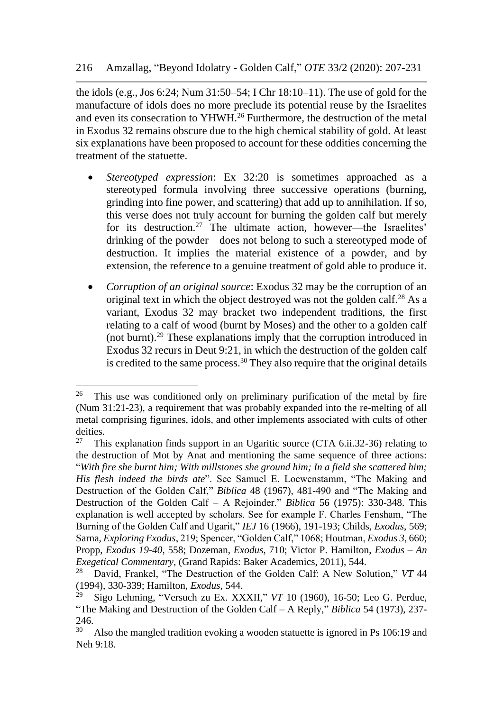the idols (e.g., Jos 6:24; Num 31:50–54; I Chr 18:10–11). The use of gold for the manufacture of idols does no more preclude its potential reuse by the Israelites and even its consecration to YHWH.<sup>26</sup> Furthermore, the destruction of the metal in Exodus 32 remains obscure due to the high chemical stability of gold. At least six explanations have been proposed to account for these oddities concerning the treatment of the statuette.

- *Stereotyped expression*: Ex 32:20 is sometimes approached as a stereotyped formula involving three successive operations (burning, grinding into fine power, and scattering) that add up to annihilation. If so, this verse does not truly account for burning the golden calf but merely for its destruction.<sup>27</sup> The ultimate action, however—the Israelites' drinking of the powder—does not belong to such a stereotyped mode of destruction. It implies the material existence of a powder, and by extension, the reference to a genuine treatment of gold able to produce it.
- *Corruption of an original source*: Exodus 32 may be the corruption of an original text in which the object destroyed was not the golden calf.<sup>28</sup> As a variant, Exodus 32 may bracket two independent traditions, the first relating to a calf of wood (burnt by Moses) and the other to a golden calf (not burnt).<sup>29</sup> These explanations imply that the corruption introduced in Exodus 32 recurs in Deut 9:21, in which the destruction of the golden calf is credited to the same process.<sup>30</sup> They also require that the original details

<sup>&</sup>lt;sup>26</sup> This use was conditioned only on preliminary purification of the metal by fire (Num 31:21-23), a requirement that was probably expanded into the re-melting of all metal comprising figurines, idols, and other implements associated with cults of other deities.<br> $27 \text{ Th}$ 

<sup>27</sup> This explanation finds support in an Ugaritic source (CTA 6.ii.32-36) relating to the destruction of Mot by Anat and mentioning the same sequence of three actions: "*With fire she burnt him; With millstones she ground him; In a field she scattered him; His flesh indeed the birds ate*". See Samuel E. Loewenstamm, "The Making and Destruction of the Golden Calf," *Biblica* 48 (1967), 481-490 and "The Making and Destruction of the Golden Calf – A Rejoinder." *Biblica* 56 (1975): 330-348. This explanation is well accepted by scholars. See for example F. Charles Fensham, "The Burning of the Golden Calf and Ugarit," *IEJ* 16 (1966), 191-193; Childs, *Exodus*, 569; Sarna, *Exploring Exodus*, 219; Spencer, "Golden Calf," 1068; Houtman, *Exodus 3*, 660; Propp, *Exodus 19-40*, 558; Dozeman, *Exodus*, 710; Victor P. Hamilton, *Exodus – An Exegetical Commentary*, (Grand Rapids: Baker Academics, 2011), 544.<br><sup>28</sup> David Frankol. "The Destruction of the Golden Celf: A New Sol

<sup>28</sup> David, Frankel, "The Destruction of the Golden Calf: A New Solution," *VT* 44 (1994), 330-339; Hamilton, *Exodus*, 544.

<sup>29</sup> Sigo Lehming, "Versuch zu Ex. XXXII," *VT* 10 (1960), 16-50; Leo G. Perdue, "The Making and Destruction of the Golden Calf – A Reply," *Biblica* 54 (1973), 237- 246.

<sup>&</sup>lt;sup>30</sup> Also the mangled tradition evoking a wooden statuette is ignored in Ps 106:19 and Neh 9:18.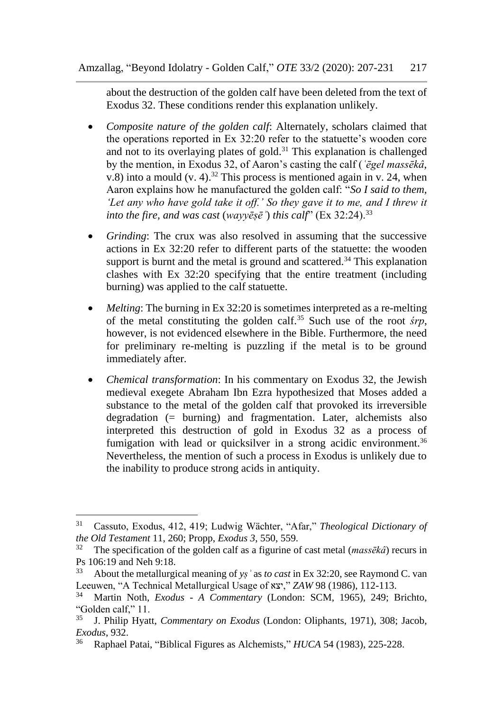about the destruction of the golden calf have been deleted from the text of Exodus 32. These conditions render this explanation unlikely.

- *Composite nature of the golden calf*: Alternately, scholars claimed that the operations reported in Ex 32:20 refer to the statuette's wooden core and not to its overlaying plates of gold.<sup>31</sup> This explanation is challenged by the mention, in Exodus 32, of Aaron's casting the calf (*ʿēgel massēkâ*, v.8) into a mould (v. 4).<sup>32</sup> This process is mentioned again in v. 24, when Aaron explains how he manufactured the golden calf: "*So I said to them, 'Let any who have gold take it off.' So they gave it to me, and I threw it into the fire, and was cast* (*wayyēṣēʾ*) *this calf*" (Ex 32:24).<sup>33</sup>
- *Grinding*: The crux was also resolved in assuming that the successive actions in Ex 32:20 refer to different parts of the statuette: the wooden support is burnt and the metal is ground and scattered.<sup>34</sup> This explanation clashes with Ex 32:20 specifying that the entire treatment (including burning) was applied to the calf statuette.
- *Melting*: The burning in Ex 32:20 is sometimes interpreted as a re-melting of the metal constituting the golden calf.<sup>35</sup> Such use of the root *śrp*, however, is not evidenced elsewhere in the Bible. Furthermore, the need for preliminary re-melting is puzzling if the metal is to be ground immediately after.
- *Chemical transformation*: In his commentary on Exodus 32, the Jewish medieval exegete Abraham Ibn Ezra hypothesized that Moses added a substance to the metal of the golden calf that provoked its irreversible degradation (= burning) and fragmentation. Later, alchemists also interpreted this destruction of gold in Exodus 32 as a process of fumigation with lead or quicksilver in a strong acidic environment.<sup>36</sup> Nevertheless, the mention of such a process in Exodus is unlikely due to the inability to produce strong acids in antiquity.

<sup>31</sup> Cassuto, Exodus, 412, 419; Ludwig Wächter, "Afar," *Theological Dictionary of the Old Testament* 11, 260; Propp, *Exodus 3*, 550, 559.

<sup>32</sup> The specification of the golden calf as a figurine of cast metal (*massēkâ*) recurs in Ps 106:19 and Neh 9:18.

<sup>33</sup> About the metallurgical meaning of *yṣʾ* as *to cast* in Ex 32:20, see Raymond C. van Leeuwen, "A Technical Metallurgical Usage of יצא, "*ZAW* 98 (1986), 112-113.

<sup>34</sup> Martin Noth, *Exodus* - *A Commentary* (London: SCM, 1965), 249; Brichto, "Golden calf,"  $11$ .<br> $^{35}$  J Philip Hyet

<sup>35</sup> J. Philip Hyatt, *Commentary on Exodus* (London: Oliphants, 1971), 308; Jacob, *Exodus*, 932.

<sup>36</sup> Raphael Patai, "Biblical Figures as Alchemists," *HUCA* 54 (1983), 225-228.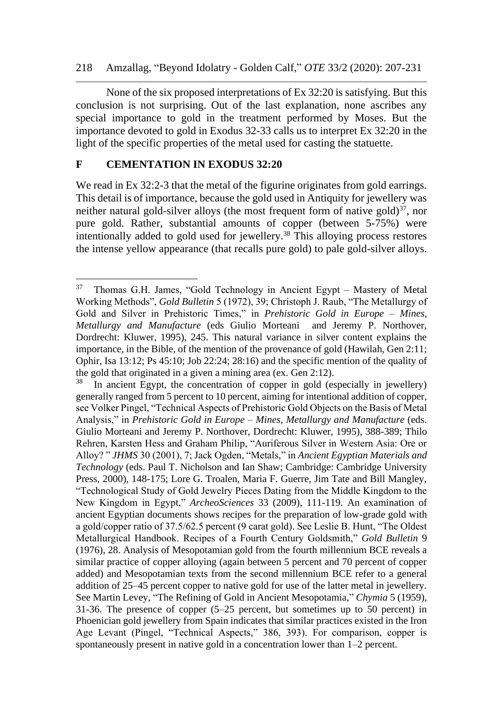None of the six proposed interpretations of Ex 32:20 is satisfying. But this conclusion is not surprising. Out of the last explanation, none ascribes any special importance to gold in the treatment performed by Moses. But the importance devoted to gold in Exodus 32-33 calls us to interpret Ex 32:20 in the light of the specific properties of the metal used for casting the statuette.

### **F CEMENTATION IN EXODUS 32:20**

We read in Ex 32:2-3 that the metal of the figurine originates from gold earrings. This detail is of importance, because the gold used in Antiquity for jewellery was neither natural gold-silver alloys (the most frequent form of native gold) $^{37}$ , nor pure gold. Rather, substantial amounts of copper (between 5-75%) were intentionally added to gold used for jewellery.<sup>38</sup> This alloying process restores the intense yellow appearance (that recalls pure gold) to pale gold-silver alloys.

<sup>37</sup> Thomas G.H. James, "Gold Technology in Ancient Egypt – Mastery of Metal Working Methods", *Gold Bulletin* 5 (1972), 39; Christoph J. Raub, "The Metallurgy of Gold and Silver in Prehistoric Times," in *Prehistoric Gold in Europe – Mines, Metallurgy and Manufacture* (eds Giulio Morteani and Jeremy P. Northover, Dordrecht: Kluwer, 1995), 245. This natural variance in silver content explains the importance, in the Bible, of the mention of the provenance of gold (Hawilah, Gen 2:11; Ophir, Isa 13:12; Ps 45:10; Job 22:24; 28:16) and the specific mention of the quality of the gold that originated in a given a mining area (ex. Gen 2:12).<br> $^{38}$  In ancient Egypt, the concentration of conner in gold (es

In ancient Egypt, the concentration of copper in gold (especially in jewellery) generally ranged from 5 percent to 10 percent, aiming for intentional addition of copper, see Volker Pingel, "Technical Aspects of Prehistoric Gold Objects on the Basis of Metal Analysis," in *Prehistoric Gold in Europe – Mines, Metallurgy and Manufacture* (eds. Giulio Morteani and Jeremy P. Northover, Dordrecht: Kluwer, 1995), 388-389; Thilo Rehren, Karsten Hess and Graham Philip, "Auriferous Silver in Western Asia: Ore or Alloy? " *JHMS* 30 (2001), 7; Jack Ogden, "Metals," in *Ancient Egyptian Materials and Technology* (eds. Paul T. Nicholson and Ian Shaw; Cambridge: Cambridge University Press, 2000), 148-175; Lore G. Troalen, Maria F. Guerre, Jim Tate and Bill Mangley, "Technological Study of Gold Jewelry Pieces Dating from the Middle Kingdom to the New Kingdom in Egypt," *ArcheoSciences* 33 (2009), 111-119. An examination of ancient Egyptian documents shows recipes for the preparation of low-grade gold with a gold/copper ratio of 37.5/62.5 percent (9 carat gold). See Leslie B. Hunt, "The Oldest Metallurgical Handbook. Recipes of a Fourth Century Goldsmith," *Gold Bulletin* 9 (1976), 28. Analysis of Mesopotamian gold from the fourth millennium BCE reveals a similar practice of copper alloying (again between 5 percent and 70 percent of copper added) and Mesopotamian texts from the second millennium BCE refer to a general addition of 25–45 percent copper to native gold for use of the latter metal in jewellery. See Martin Levey, "The Refining of Gold in Ancient Mesopotamia," *Chymia* 5 (1959), 31-36. The presence of copper (5–25 percent, but sometimes up to 50 percent) in Phoenician gold jewellery from Spain indicates that similar practices existed in the Iron Age Levant (Pingel, "Technical Aspects," 386, 393). For comparison, copper is spontaneously present in native gold in a concentration lower than 1–2 percent.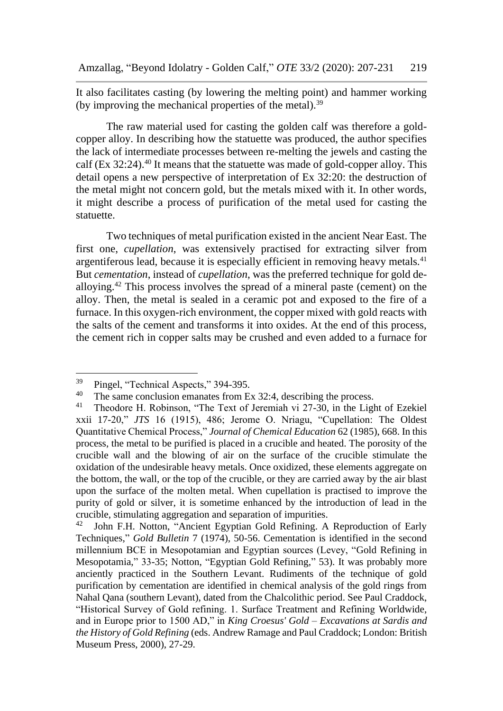It also facilitates casting (by lowering the melting point) and hammer working (by improving the mechanical properties of the metal).<sup>39</sup>

The raw material used for casting the golden calf was therefore a goldcopper alloy. In describing how the statuette was produced, the author specifies the lack of intermediate processes between re-melting the jewels and casting the calf (Ex 32:24).<sup>40</sup> It means that the statuette was made of gold-copper alloy. This detail opens a new perspective of interpretation of Ex 32:20: the destruction of the metal might not concern gold, but the metals mixed with it. In other words, it might describe a process of purification of the metal used for casting the statuette.

Two techniques of metal purification existed in the ancient Near East. The first one, *cupellation*, was extensively practised for extracting silver from argentiferous lead, because it is especially efficient in removing heavy metals. $41$ But *cementation*, instead of *cupellation*, was the preferred technique for gold dealloying.<sup>42</sup> This process involves the spread of a mineral paste (cement) on the alloy. Then, the metal is sealed in a ceramic pot and exposed to the fire of a furnace. In this oxygen-rich environment, the copper mixed with gold reacts with the salts of the cement and transforms it into oxides. At the end of this process, the cement rich in copper salts may be crushed and even added to a furnace for

 $^{39}$  Pingel, "Technical Aspects," 394-395.<br> $^{40}$  The same conclusion emerges from E

<sup>&</sup>lt;sup>40</sup> The same conclusion emanates from Ex 32:4, describing the process.<br><sup>41</sup> Theodore H, Robinson, "The Text of Jeremiah vi 27-30, in the Light

Theodore H. Robinson, "The Text of Jeremiah vi 27-30, in the Light of Ezekiel xxii 17-20," *JTS* 16 (1915), 486; Jerome O. Nriagu, "Cupellation: The Oldest Quantitative Chemical Process," *Journal of Chemical Education* 62 (1985), 668. In this process, the metal to be purified is placed in a crucible and heated. The porosity of the crucible wall and the blowing of air on the surface of the crucible stimulate the oxidation of the undesirable heavy metals. Once oxidized, these elements aggregate on the bottom, the wall, or the top of the crucible, or they are carried away by the air blast upon the surface of the molten metal. When cupellation is practised to improve the purity of gold or silver, it is sometime enhanced by the introduction of lead in the crucible, stimulating aggregation and separation of impurities.<br><sup>42</sup> Iohn E.H. Notton, "Ancient Equation Gold Refining, A.

<sup>42</sup> John F.H. Notton, "Ancient Egyptian Gold Refining. A Reproduction of Early Techniques," *Gold Bulletin* 7 (1974), 50-56. Cementation is identified in the second millennium BCE in Mesopotamian and Egyptian sources (Levey, "Gold Refining in Mesopotamia," 33-35; Notton, "Egyptian Gold Refining," 53). It was probably more anciently practiced in the Southern Levant. Rudiments of the technique of gold purification by cementation are identified in chemical analysis of the gold rings from Nahal Qana (southern Levant), dated from the Chalcolithic period. See Paul Craddock, "Historical Survey of Gold refining. 1. Surface Treatment and Refining Worldwide, and in Europe prior to 1500 AD," in *King Croesus' Gold – Excavations at Sardis and the History of Gold Refining* (eds. Andrew Ramage and Paul Craddock; London: British Museum Press, 2000), 27-29.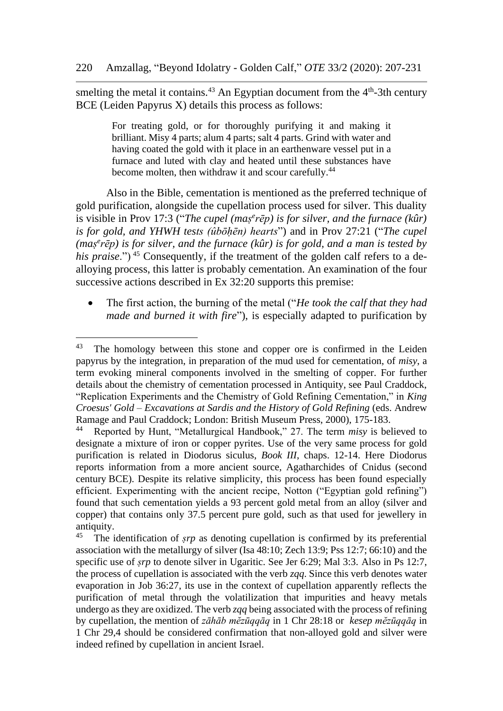smelting the metal it contains.<sup>43</sup> An Egyptian document from the  $4<sup>th</sup>$ -3th century BCE (Leiden Papyrus X) details this process as follows:

> For treating gold, or for thoroughly purifying it and making it brilliant. Misy 4 parts; alum 4 parts; salt 4 parts. Grind with water and having coated the gold with it place in an earthenware vessel put in a furnace and luted with clay and heated until these substances have become molten, then withdraw it and scour carefully.<sup>44</sup>

Also in the Bible, cementation is mentioned as the preferred technique of gold purification, alongside the cupellation process used for silver. This duality is visible in Prov 17:3 ("The cupel (maṣ<sup>e</sup>rēp) is for silver, and the furnace (kûr) *is for gold, and YHWH tests (ûbōḥēn) hearts*") and in Prov 27:21 ("*The cupel (maṣ e rēp) is for silver, and the furnace (kûr) is for gold, and a man is tested by his praise*.")<sup>45</sup> Consequently, if the treatment of the golden calf refers to a dealloying process, this latter is probably cementation. An examination of the four successive actions described in Ex 32:20 supports this premise:

• The first action, the burning of the metal ("*He took the calf that they had made and burned it with fire*"), is especially adapted to purification by

 $43$  The homology between this stone and copper ore is confirmed in the Leiden papyrus by the integration, in preparation of the mud used for cementation, of *misy*, a term evoking mineral components involved in the smelting of copper. For further details about the chemistry of cementation processed in Antiquity, see Paul Craddock, "Replication Experiments and the Chemistry of Gold Refining Cementation," in *King Croesus' Gold – Excavations at Sardis and the History of Gold Refining* (eds. Andrew Ramage and Paul Craddock; London: British Museum Press, 2000), 175-183.<br><sup>44</sup> Reported by Hunt "Metallurgical Handbook" 27 The term *misy* is bel

<sup>44</sup> Reported by Hunt, "Metallurgical Handbook," 27. The term *misy* is believed to designate a mixture of iron or copper pyrites. Use of the very same process for gold purification is related in Diodorus siculus, *Book III*, chaps. 12-14. Here Diodorus reports information from a more ancient source, Agatharchides of Cnidus (second century BCE). Despite its relative simplicity, this process has been found especially efficient. Experimenting with the ancient recipe, Notton ("Egyptian gold refining") found that such cementation yields a 93 percent gold metal from an alloy (silver and copper) that contains only 37.5 percent pure gold, such as that used for jewellery in antiquity.<br> $45$  The i

The identification of *srp* as denoting cupellation is confirmed by its preferential association with the metallurgy of silver (Isa 48:10; Zech 13:9; Pss 12:7; 66:10) and the specific use of *srp* to denote silver in Ugaritic. See Jer 6:29; Mal 3:3. Also in Ps 12:7, the process of cupellation is associated with the verb *zqq*. Since this verb denotes water evaporation in Job 36:27, its use in the context of cupellation apparently reflects the purification of metal through the volatilization that impurities and heavy metals undergo as they are oxidized. The verb *zqq* being associated with the process of refining by cupellation, the mention of *zāhāb mĕzūqqāq* in 1 Chr 28:18 or *kesep mĕzūqqāq* in 1 Chr 29,4 should be considered confirmation that non-alloyed gold and silver were indeed refined by cupellation in ancient Israel.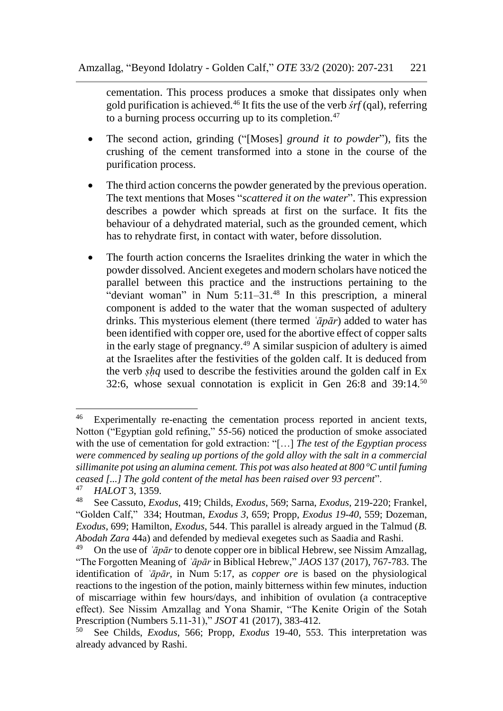cementation. This process produces a smoke that dissipates only when gold purification is achieved.<sup>46</sup> It fits the use of the verb *śrf* (qal), referring to a burning process occurring up to its completion. $47$ 

- The second action, grinding ("[Moses] *ground it to powder*"), fits the crushing of the cement transformed into a stone in the course of the purification process.
- The third action concerns the powder generated by the previous operation. The text mentions that Moses "*scattered it on the water*". This expression describes a powder which spreads at first on the surface. It fits the behaviour of a dehydrated material, such as the grounded cement, which has to rehydrate first, in contact with water, before dissolution.
- The fourth action concerns the Israelites drinking the water in which the powder dissolved. Ancient exegetes and modern scholars have noticed the parallel between this practice and the instructions pertaining to the "deviant woman" in Num  $5:11-31.^{48}$  In this prescription, a mineral component is added to the water that the woman suspected of adultery drinks. This mysterious element (there termed *ʿāpār*) added to water has been identified with copper ore, used for the abortive effect of copper salts in the early stage of pregnancy.<sup>49</sup> A similar suspicion of adultery is aimed at the Israelites after the festivities of the golden calf. It is deduced from the verb *ṣḥq* used to describe the festivities around the golden calf in Ex 32:6, whose sexual connotation is explicit in Gen 26:8 and 39:14.<sup>50</sup>

<sup>&</sup>lt;sup>46</sup> Experimentally re-enacting the cementation process reported in ancient texts, Notton ("Egyptian gold refining," 55-56) noticed the production of smoke associated with the use of cementation for gold extraction: "[…] *The test of the Egyptian process were commenced by sealing up portions of the gold alloy with the salt in a commercial sillimanite pot using an alumina cement. This pot was also heated at 800 <sup>o</sup>C until fuming ceased [...] The gold content of the metal has been raised over 93 percent*".

<sup>&</sup>lt;sup>47</sup> *HALOT* 3, 1359.

<sup>48</sup> See Cassuto, *Exodus*, 419; Childs, *Exodus*, 569; Sarna, *Exodus*, 219-220; Frankel, "Golden Calf," 334; Houtman, *Exodus 3*, 659; Propp, *Exodus 19-40*, 559; Dozeman, *Exodus*, 699; Hamilton, *Exodus*, 544. This parallel is already argued in the Talmud (*B. Abodah Zara* 44a) and defended by medieval exegetes such as Saadia and Rashi.

<sup>&</sup>lt;sup>49</sup> On the use of *`āpār* to denote copper ore in biblical Hebrew, see Nissim Amzallag, "The Forgotten Meaning of *ʿāpār* in Biblical Hebrew," *JAOS* 137 (2017), 767-783. The identification of *ʿāpār*, in Num 5:17, as *copper ore* is based on the physiological reactions to the ingestion of the potion, mainly bitterness within few minutes, induction of miscarriage within few hours/days, and inhibition of ovulation (a contraceptive effect). See Nissim Amzallag and Yona Shamir, "The Kenite Origin of the Sotah Prescription (Numbers 5.11-31)," *JSOT* 41 (2017), 383-412.

<sup>50</sup> See Childs, *Exodus*, 566; Propp, *Exodus* 19-40, 553. This interpretation was already advanced by Rashi.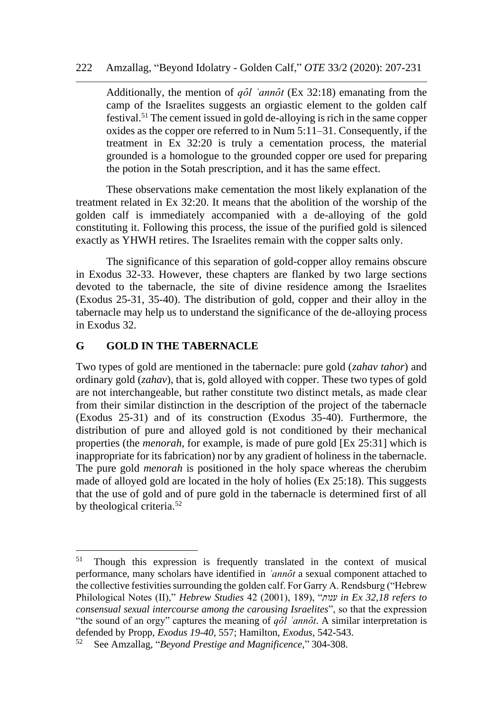Additionally, the mention of  $q\partial l$  *annot* (Ex 32:18) emanating from the camp of the Israelites suggests an orgiastic element to the golden calf festival.<sup>51</sup> The cement issued in gold de-alloying is rich in the same copper oxides as the copper ore referred to in Num 5:11–31. Consequently, if the treatment in Ex 32:20 is truly a cementation process, the material grounded is a homologue to the grounded copper ore used for preparing the potion in the Sotah prescription, and it has the same effect.

These observations make cementation the most likely explanation of the treatment related in Ex 32:20. It means that the abolition of the worship of the golden calf is immediately accompanied with a de-alloying of the gold constituting it. Following this process, the issue of the purified gold is silenced exactly as YHWH retires. The Israelites remain with the copper salts only.

The significance of this separation of gold-copper alloy remains obscure in Exodus 32-33. However, these chapters are flanked by two large sections devoted to the tabernacle, the site of divine residence among the Israelites (Exodus 25-31, 35-40). The distribution of gold, copper and their alloy in the tabernacle may help us to understand the significance of the de-alloying process in Exodus 32.

### **G GOLD IN THE TABERNACLE**

Two types of gold are mentioned in the tabernacle: pure gold (*zahav tahor*) and ordinary gold (*zahav*), that is, gold alloyed with copper. These two types of gold are not interchangeable, but rather constitute two distinct metals, as made clear from their similar distinction in the description of the project of the tabernacle (Exodus 25-31) and of its construction (Exodus 35-40). Furthermore, the distribution of pure and alloyed gold is not conditioned by their mechanical properties (the *menorah*, for example, is made of pure gold [Ex 25:31] which is inappropriate for its fabrication) nor by any gradient of holiness in the tabernacle. The pure gold *menorah* is positioned in the holy space whereas the cherubim made of alloyed gold are located in the holy of holies (Ex 25:18). This suggests that the use of gold and of pure gold in the tabernacle is determined first of all by theological criteria.<sup>52</sup>

<sup>&</sup>lt;sup>51</sup> Though this expression is frequently translated in the context of musical performance, many scholars have identified in *`annôt* a sexual component attached to the collective festivities surrounding the golden calf. For Garry A. Rendsburg ("Hebrew Philological Notes (II)," *Hebrew Studies* 42 (2001), 189), "*ענות in Ex 32,18 refers to consensual sexual intercourse among the carousing Israelites*", so that the expression "the sound of an orgy" captures the meaning of *qôl 'annôt*. A similar interpretation is defended by Propp, *Exodus 19-40*, 557; Hamilton, *Exodus*, 542-543.

<sup>52</sup> See Amzallag, "*Beyond Prestige and Magnificence,*" 304-308.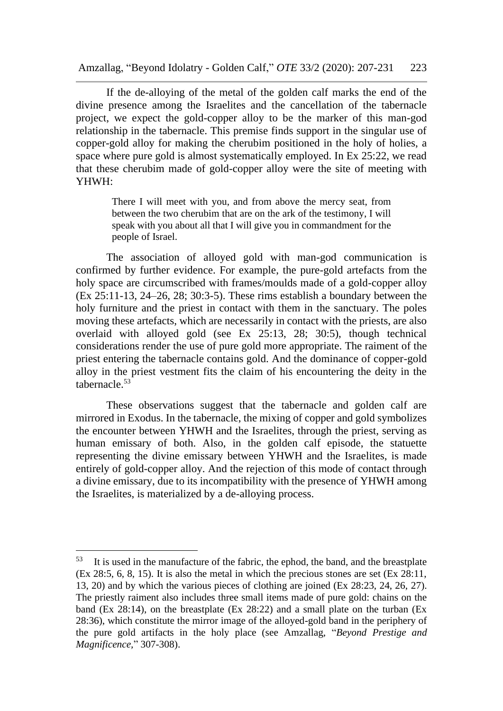Amzallag, "Beyond Idolatry - Golden Calf," *OTE* 33/2 (2020): 207-231 223

If the de-alloying of the metal of the golden calf marks the end of the divine presence among the Israelites and the cancellation of the tabernacle project, we expect the gold-copper alloy to be the marker of this man-god relationship in the tabernacle. This premise finds support in the singular use of copper-gold alloy for making the cherubim positioned in the holy of holies, a space where pure gold is almost systematically employed. In Ex 25:22, we read that these cherubim made of gold-copper alloy were the site of meeting with YHWH:

> There I will meet with you, and from above the mercy seat, from between the two cherubim that are on the ark of the testimony, I will speak with you about all that I will give you in commandment for the people of Israel.

The association of alloyed gold with man-god communication is confirmed by further evidence. For example, the pure-gold artefacts from the holy space are circumscribed with frames/moulds made of a gold-copper alloy (Ex 25:11-13, 24–26, 28; 30:3-5). These rims establish a boundary between the holy furniture and the priest in contact with them in the sanctuary. The poles moving these artefacts, which are necessarily in contact with the priests, are also overlaid with alloyed gold (see Ex 25:13, 28; 30:5), though technical considerations render the use of pure gold more appropriate. The raiment of the priest entering the tabernacle contains gold. And the dominance of copper-gold alloy in the priest vestment fits the claim of his encountering the deity in the tabernacle.<sup>53</sup>

These observations suggest that the tabernacle and golden calf are mirrored in Exodus. In the tabernacle, the mixing of copper and gold symbolizes the encounter between YHWH and the Israelites, through the priest, serving as human emissary of both. Also, in the golden calf episode, the statuette representing the divine emissary between YHWH and the Israelites, is made entirely of gold-copper alloy. And the rejection of this mode of contact through a divine emissary, due to its incompatibility with the presence of YHWH among the Israelites, is materialized by a de-alloying process.

<sup>53</sup> It is used in the manufacture of the fabric, the ephod, the band, and the breastplate (Ex 28:5, 6, 8, 15). It is also the metal in which the precious stones are set (Ex 28:11, 13, 20) and by which the various pieces of clothing are joined (Ex 28:23, 24, 26, 27). The priestly raiment also includes three small items made of pure gold: chains on the band (Ex 28:14), on the breastplate (Ex 28:22) and a small plate on the turban (Ex 28:36), which constitute the mirror image of the alloyed-gold band in the periphery of the pure gold artifacts in the holy place (see Amzallag, "*Beyond Prestige and Magnificence,*" 307-308).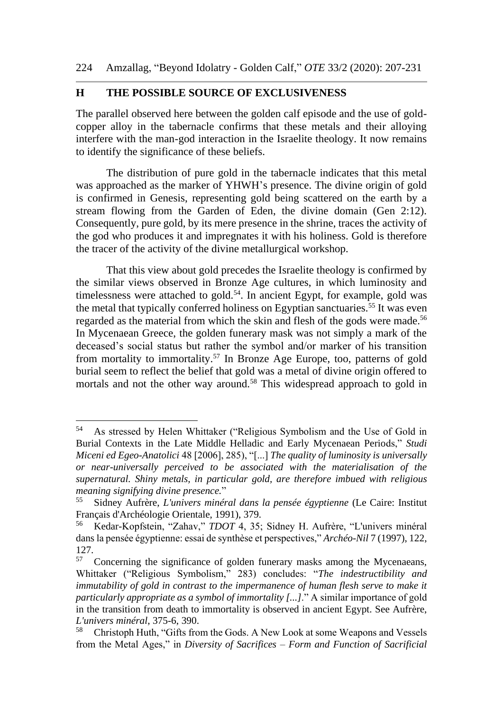### **H THE POSSIBLE SOURCE OF EXCLUSIVENESS**

The parallel observed here between the golden calf episode and the use of goldcopper alloy in the tabernacle confirms that these metals and their alloying interfere with the man-god interaction in the Israelite theology. It now remains to identify the significance of these beliefs.

The distribution of pure gold in the tabernacle indicates that this metal was approached as the marker of YHWH's presence. The divine origin of gold is confirmed in Genesis, representing gold being scattered on the earth by a stream flowing from the Garden of Eden, the divine domain (Gen 2:12). Consequently, pure gold, by its mere presence in the shrine, traces the activity of the god who produces it and impregnates it with his holiness. Gold is therefore the tracer of the activity of the divine metallurgical workshop.

That this view about gold precedes the Israelite theology is confirmed by the similar views observed in Bronze Age cultures, in which luminosity and timelessness were attached to gold.<sup>54</sup>. In ancient Egypt, for example, gold was the metal that typically conferred holiness on Egyptian sanctuaries.<sup>55</sup> It was even regarded as the material from which the skin and flesh of the gods were made.<sup>56</sup> In Mycenaean Greece, the golden funerary mask was not simply a mark of the deceased's social status but rather the symbol and/or marker of his transition from mortality to immortality.<sup>57</sup> In Bronze Age Europe, too, patterns of gold burial seem to reflect the belief that gold was a metal of divine origin offered to mortals and not the other way around.<sup>58</sup> This widespread approach to gold in

<sup>54</sup> As stressed by Helen Whittaker ("Religious Symbolism and the Use of Gold in Burial Contexts in the Late Middle Helladic and Early Mycenaean Periods," *Studi Miceni ed Egeo-Anatolici* 48 [2006], 285), "[...] *The quality of luminosity is universally or near-universally perceived to be associated with the materialisation of the supernatural. Shiny metals, in particular gold, are therefore imbued with religious meaning signifying divine presence.*"

<sup>55</sup> Sidney Aufrère, *L'univers minéral dans la pensée égyptienne* (Le Caire: Institut Français d'Archéologie Orientale, 1991), 379.<br><sup>56</sup> Kedar-Konfstein "Zahav" *TDOT* 4 35.

<sup>56</sup> Kedar-Kopfstein, "Zahav," *TDOT* 4, 35; Sidney H. Aufrère, "L'univers minéral dans la pensée égyptienne: essai de synthèse et perspectives," *Archéo-Nil* 7 (1997), 122,  $127.57$ 

<sup>57</sup> Concerning the significance of golden funerary masks among the Mycenaeans, Whittaker ("Religious Symbolism," 283) concludes: "*The indestructibility and immutability of gold in contrast to the impermanence of human flesh serve to make it particularly appropriate as a symbol of immortality [...]*." A similar importance of gold in the transition from death to immortality is observed in ancient Egypt. See Aufrère, *L'univers minéral*, 375-6, 390.

<sup>58</sup> Christoph Huth, "Gifts from the Gods. A New Look at some Weapons and Vessels from the Metal Ages," in *Diversity of Sacrifices – Form and Function of Sacrificial*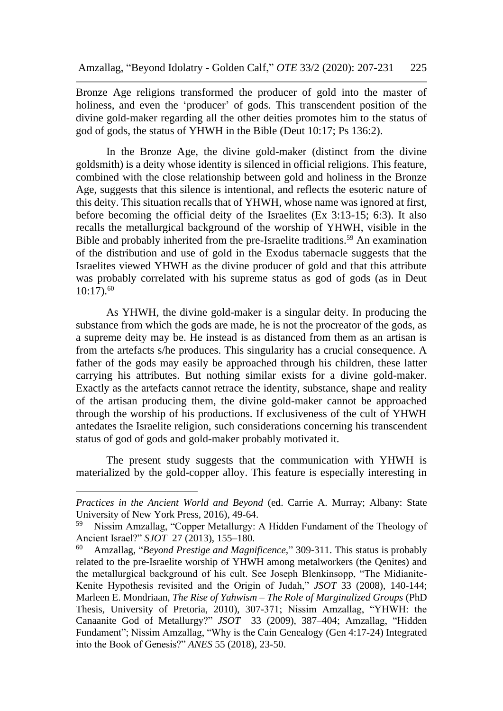Bronze Age religions transformed the producer of gold into the master of holiness, and even the 'producer' of gods. This transcendent position of the divine gold-maker regarding all the other deities promotes him to the status of god of gods, the status of YHWH in the Bible (Deut 10:17; Ps 136:2).

In the Bronze Age, the divine gold-maker (distinct from the divine goldsmith) is a deity whose identity is silenced in official religions. This feature, combined with the close relationship between gold and holiness in the Bronze Age, suggests that this silence is intentional, and reflects the esoteric nature of this deity. This situation recalls that of YHWH, whose name was ignored at first, before becoming the official deity of the Israelites (Ex 3:13-15; 6:3). It also recalls the metallurgical background of the worship of YHWH, visible in the Bible and probably inherited from the pre-Israelite traditions.<sup>59</sup> An examination of the distribution and use of gold in the Exodus tabernacle suggests that the Israelites viewed YHWH as the divine producer of gold and that this attribute was probably correlated with his supreme status as god of gods (as in Deut  $10:17$ .<sup>60</sup>

As YHWH, the divine gold-maker is a singular deity. In producing the substance from which the gods are made, he is not the procreator of the gods, as a supreme deity may be. He instead is as distanced from them as an artisan is from the artefacts s/he produces. This singularity has a crucial consequence. A father of the gods may easily be approached through his children, these latter carrying his attributes. But nothing similar exists for a divine gold-maker. Exactly as the artefacts cannot retrace the identity, substance, shape and reality of the artisan producing them, the divine gold-maker cannot be approached through the worship of his productions. If exclusiveness of the cult of YHWH antedates the Israelite religion, such considerations concerning his transcendent status of god of gods and gold-maker probably motivated it.

The present study suggests that the communication with YHWH is materialized by the gold-copper alloy. This feature is especially interesting in

*Practices in the Ancient World and Beyond* (ed. Carrie A. Murray; Albany: State University of New York Press, 2016), 49-64.<br><sup>59</sup> Nissim Amzellog, "Conner Metallurgy.

<sup>59</sup> Nissim Amzallag, "Copper Metallurgy: A Hidden Fundament of the Theology of Ancient Israel?" *SJOT* 27 (2013), 155–180.

<sup>60</sup> Amzallag, "*Beyond Prestige and Magnificence,*" 309-311. This status is probably related to the pre-Israelite worship of YHWH among metalworkers (the Qenites) and the metallurgical background of his cult. See Joseph Blenkinsopp, "The Midianite-Kenite Hypothesis revisited and the Origin of Judah," *JSOT* 33 (2008), 140-144; Marleen E. Mondriaan, *The Rise of Yahwism – The Role of Marginalized Groups* (PhD Thesis, University of Pretoria, 2010), 307-371; Nissim Amzallag, "YHWH: the Canaanite God of Metallurgy?" *JSOT* 33 (2009), 387–404; Amzallag, "Hidden Fundament"; Nissim Amzallag, "Why is the Cain Genealogy (Gen 4:17-24) Integrated into the Book of Genesis?" *ANES* 55 (2018), 23-50.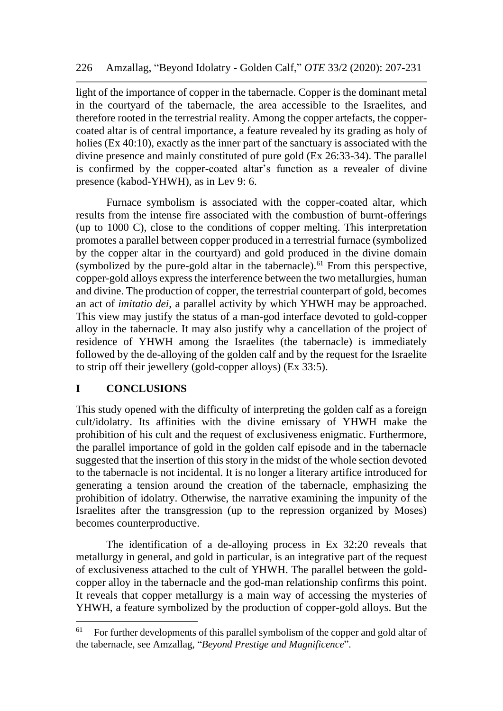light of the importance of copper in the tabernacle. Copper is the dominant metal in the courtyard of the tabernacle, the area accessible to the Israelites, and therefore rooted in the terrestrial reality. Among the copper artefacts, the coppercoated altar is of central importance, a feature revealed by its grading as holy of holies (Ex 40:10), exactly as the inner part of the sanctuary is associated with the divine presence and mainly constituted of pure gold (Ex 26:33-34). The parallel is confirmed by the copper-coated altar's function as a revealer of divine presence (kabod-YHWH), as in Lev 9: 6.

Furnace symbolism is associated with the copper-coated altar, which results from the intense fire associated with the combustion of burnt-offerings (up to 1000 C), close to the conditions of copper melting. This interpretation promotes a parallel between copper produced in a terrestrial furnace (symbolized by the copper altar in the courtyard) and gold produced in the divine domain (symbolized by the pure-gold altar in the tabernacle).<sup>61</sup> From this perspective, copper-gold alloys express the interference between the two metallurgies, human and divine. The production of copper, the terrestrial counterpart of gold, becomes an act of *imitatio dei*, a parallel activity by which YHWH may be approached. This view may justify the status of a man-god interface devoted to gold-copper alloy in the tabernacle. It may also justify why a cancellation of the project of residence of YHWH among the Israelites (the tabernacle) is immediately followed by the de-alloying of the golden calf and by the request for the Israelite to strip off their jewellery (gold-copper alloys) (Ex 33:5).

### **I CONCLUSIONS**

This study opened with the difficulty of interpreting the golden calf as a foreign cult/idolatry. Its affinities with the divine emissary of YHWH make the prohibition of his cult and the request of exclusiveness enigmatic. Furthermore, the parallel importance of gold in the golden calf episode and in the tabernacle suggested that the insertion of this story in the midst of the whole section devoted to the tabernacle is not incidental. It is no longer a literary artifice introduced for generating a tension around the creation of the tabernacle, emphasizing the prohibition of idolatry. Otherwise, the narrative examining the impunity of the Israelites after the transgression (up to the repression organized by Moses) becomes counterproductive.

The identification of a de-alloying process in Ex 32:20 reveals that metallurgy in general, and gold in particular, is an integrative part of the request of exclusiveness attached to the cult of YHWH. The parallel between the goldcopper alloy in the tabernacle and the god-man relationship confirms this point. It reveals that copper metallurgy is a main way of accessing the mysteries of YHWH, a feature symbolized by the production of copper-gold alloys. But the

 $61$  For further developments of this parallel symbolism of the copper and gold altar of the tabernacle, see Amzallag, "*Beyond Prestige and Magnificence*".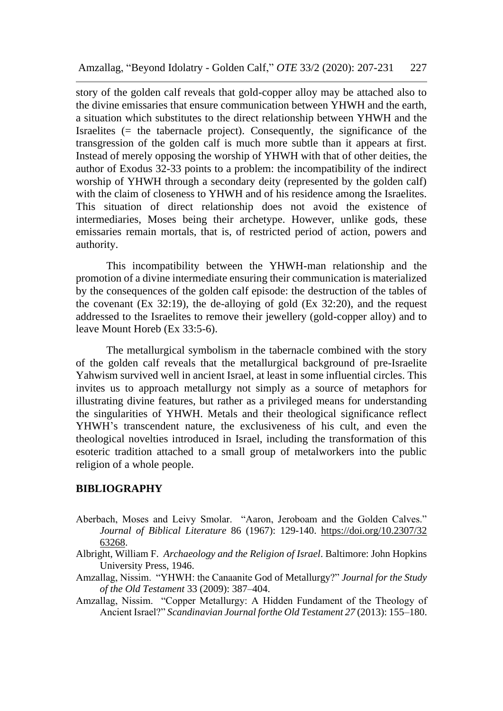story of the golden calf reveals that gold-copper alloy may be attached also to the divine emissaries that ensure communication between YHWH and the earth, a situation which substitutes to the direct relationship between YHWH and the Israelites (= the tabernacle project). Consequently, the significance of the transgression of the golden calf is much more subtle than it appears at first. Instead of merely opposing the worship of YHWH with that of other deities, the author of Exodus 32-33 points to a problem: the incompatibility of the indirect worship of YHWH through a secondary deity (represented by the golden calf) with the claim of closeness to YHWH and of his residence among the Israelites. This situation of direct relationship does not avoid the existence of intermediaries, Moses being their archetype. However, unlike gods, these emissaries remain mortals, that is, of restricted period of action, powers and authority.

This incompatibility between the YHWH-man relationship and the promotion of a divine intermediate ensuring their communication is materialized by the consequences of the golden calf episode: the destruction of the tables of the covenant  $(Kx 32:19)$ , the de-alloying of gold  $(Kx 32:20)$ , and the request addressed to the Israelites to remove their jewellery (gold-copper alloy) and to leave Mount Horeb (Ex 33:5-6).

The metallurgical symbolism in the tabernacle combined with the story of the golden calf reveals that the metallurgical background of pre-Israelite Yahwism survived well in ancient Israel, at least in some influential circles. This invites us to approach metallurgy not simply as a source of metaphors for illustrating divine features, but rather as a privileged means for understanding the singularities of YHWH. Metals and their theological significance reflect YHWH's transcendent nature, the exclusiveness of his cult, and even the theological novelties introduced in Israel, including the transformation of this esoteric tradition attached to a small group of metalworkers into the public religion of a whole people.

#### **BIBLIOGRAPHY**

- Aberbach, Moses and Leivy Smolar. "Aaron, Jeroboam and the Golden Calves." *Journal of Biblical Literature* 86 (1967): 129-140. [https://doi.org/10.2307/32](https://doi.org/10.2307/32%2063268)  [63268.](https://doi.org/10.2307/32%2063268)
- Albright, William F. *Archaeology and the Religion of Israel*. Baltimore: John Hopkins University Press, 1946.
- Amzallag, Nissim. "YHWH: the Canaanite God of Metallurgy?" *Journal for the Study of the Old Testament* 33 (2009): 387–404.
- Amzallag, Nissim. "Copper Metallurgy: A Hidden Fundament of the Theology of Ancient Israel?" *Scandinavian Journal forthe Old Testament 27* (2013): 155–180.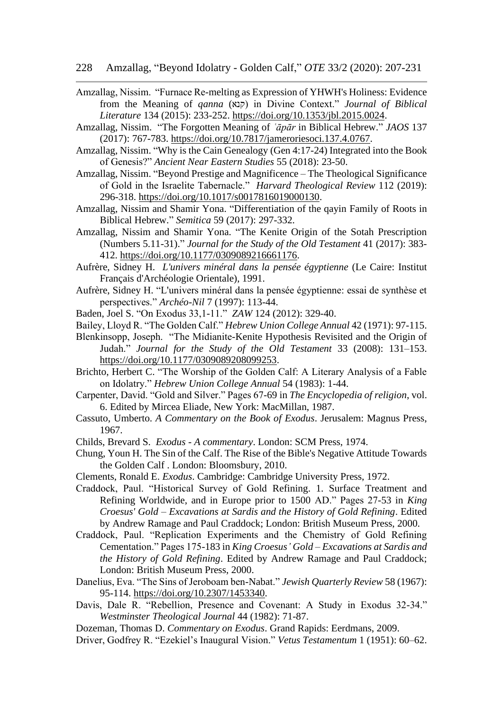- Amzallag, Nissim. "Furnace Re-melting as Expression of YHWH's Holiness: Evidence from the Meaning of *qanna* (קנא (in Divine Context." *Journal of Biblical Literature* 134 (2015): 233-252. [https://doi.org/10.1353/jbl.2015.0024.](https://doi.org/10.1353/jbl.2015.0024)
- Amzallag, Nissim. "The Forgotten Meaning of *ʿāpār* in Biblical Hebrew." *JAOS* 137 (2017): 767-783. [https://doi.org/10.7817/jameroriesoci.137.4.0767.](https://doi.org/10.7817/jameroriesoci.137.4.0767)
- Amzallag, Nissim. "Why is the Cain Genealogy (Gen 4:17-24) Integrated into the Book of Genesis?" *Ancient Near Eastern Studies* 55 (2018): 23-50.
- Amzallag, Nissim. "Beyond Prestige and Magnificence The Theological Significance of Gold in the Israelite Tabernacle." *Harvard Theological Review* 112 (2019): 296-318. [https://doi.org/10.1017/s0017816019000130.](https://doi.org/10.1017/s0017816019000130)
- Amzallag, Nissim and Shamir Yona. "Differentiation of the qayin Family of Roots in Biblical Hebrew." *Semitica* 59 (2017): 297-332.
- Amzallag, Nissim and Shamir Yona. "The Kenite Origin of the Sotah Prescription (Numbers 5.11-31)." *Journal for the Study of the Old Testament* 41 (2017): 383- 412. [https://doi.org/10.1177/0309089216661176.](https://doi.org/10.1177/0309089216661176)
- Aufrère, Sidney H. *L'univers minéral dans la pensée égyptienne* (Le Caire: Institut Français d'Archéologie Orientale), 1991.
- Aufrère, Sidney H. "L'univers minéral dans la pensée égyptienne: essai de synthèse et perspectives." *Archéo-Nil* 7 (1997): 113-44.
- Baden, Joel S. "On Exodus 33,1-11." *ZAW* 124 (2012): 329-40.
- Bailey, Lloyd R. "The Golden Calf." *Hebrew Union College Annual* 42 (1971): 97-115.
- Blenkinsopp, Joseph. "The Midianite-Kenite Hypothesis Revisited and the Origin of Judah." *Journal for the Study of the Old Testament* 33 (2008): 131–153. [https://doi.org/10.1177/0309089208099253.](https://doi.org/10.1177/0309089208099253)
- Brichto, Herbert C. "The Worship of the Golden Calf: A Literary Analysis of a Fable on Idolatry." *Hebrew Union College Annual* 54 (1983): 1-44.
- Carpenter, David. "Gold and Silver." Pages 67-69 in *The Encyclopedia of religion*, vol. 6. Edited by Mircea Eliade, New York: MacMillan, 1987.
- Cassuto, Umberto. *A Commentary on the Book of Exodus*. Jerusalem: Magnus Press, 1967.
- Childs, Brevard S. *Exodus - A commentary*. London: SCM Press, 1974.
- Chung, Youn H. The Sin of the Calf. The Rise of the Bible's Negative Attitude Towards the Golden Calf . London: Bloomsbury, 2010.
- Clements, Ronald E. *Exodus*. Cambridge: Cambridge University Press, 1972.
- Craddock, Paul. "Historical Survey of Gold Refining. 1. Surface Treatment and Refining Worldwide, and in Europe prior to 1500 AD." Pages 27-53 in *King Croesus' Gold – Excavations at Sardis and the History of Gold Refining*. Edited by Andrew Ramage and Paul Craddock; London: British Museum Press, 2000.
- Craddock, Paul. "Replication Experiments and the Chemistry of Gold Refining Cementation." Pages 175-183 in *King Croesus' Gold – Excavations at Sardis and the History of Gold Refining*. Edited by Andrew Ramage and Paul Craddock; London: British Museum Press, 2000.
- Danelius, Eva. "The Sins of Jeroboam ben-Nabat." *Jewish Quarterly Review* 58 (1967): 95-114. [https://doi.org/10.2307/1453340.](https://doi.org/10.2307/1453340)
- Davis, Dale R. "Rebellion, Presence and Covenant: A Study in Exodus 32-34." *Westminster Theological Journal* 44 (1982): 71-87.
- Dozeman, Thomas D. *Commentary on Exodus*. Grand Rapids: Eerdmans, 2009.
- Driver, Godfrey R. "Ezekiel's Inaugural Vision." *Vetus Testamentum* 1 (1951): 60–62.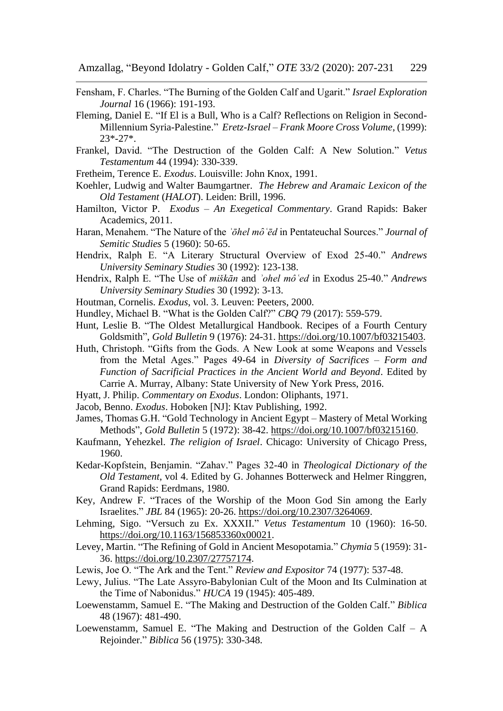- Fensham, F. Charles. "The Burning of the Golden Calf and Ugarit." *Israel Exploration Journal* 16 (1966): 191-193.
- Fleming, Daniel E. "If El is a Bull, Who is a Calf? Reflections on Religion in Second-Millennium Syria-Palestine." *Eretz-Israel – Frank Moore Cross Volume*, (1999): 23\*-27\*.
- Frankel, David. "The Destruction of the Golden Calf: A New Solution." *Vetus Testamentum* 44 (1994): 330-339.
- Fretheim, Terence E. *Exodus*. Louisville: John Knox, 1991.
- Koehler, Ludwig and Walter Baumgartner. *The Hebrew and Aramaic Lexicon of the Old Testament* (*HALOT*). Leiden: Brill, 1996.
- Hamilton, Victor P. *Exodus – An Exegetical Commentary*. Grand Rapids: Baker Academics, 2011.
- Haran, Menahem. "The Nature of the *ʾōhel mȏʿēd* in Pentateuchal Sources." *Journal of Semitic Studies* 5 (1960): 50-65.
- Hendrix, Ralph E. "A Literary Structural Overview of Exod 25-40." *Andrews University Seminary Studies* 30 (1992): 123-138.
- Hendrix, Ralph E. "The Use of *miškān* and *ʾohel môʿed* in Exodus 25-40." *Andrews University Seminary Studies* 30 (1992): 3-13.
- Houtman, Cornelis. *Exodus*, vol. 3. Leuven: Peeters, 2000.
- Hundley, Michael B. "What is the Golden Calf?" *CBQ* 79 (2017): 559-579.
- Hunt, Leslie B. "The Oldest Metallurgical Handbook. Recipes of a Fourth Century Goldsmith", *Gold Bulletin* 9 (1976): 24-31. [https://doi.org/10.1007/bf03215403.](https://doi.org/10.1007/bf03215403)
- Huth, Christoph. "Gifts from the Gods. A New Look at some Weapons and Vessels from the Metal Ages." Pages 49-64 in *Diversity of Sacrifices – Form and Function of Sacrificial Practices in the Ancient World and Beyond*. Edited by Carrie A. Murray, Albany: State University of New York Press, 2016.
- Hyatt, J. Philip. *Commentary on Exodus*. London: Oliphants, 1971.
- Jacob, Benno. *Exodus*. Hoboken [NJ]: Ktav Publishing, 1992.
- James, Thomas G.H. "Gold Technology in Ancient Egypt Mastery of Metal Working Methods", *Gold Bulletin* 5 (1972): 38-42. [https://doi.org/10.1007/bf03215160.](https://doi.org/10.1007/bf03215160)
- Kaufmann, Yehezkel. *The religion of Israel*. Chicago: University of Chicago Press, 1960.
- Kedar-Kopfstein, Benjamin. "Zahav." Pages 32-40 in *Theological Dictionary of the Old Testament*, vol 4. Edited by G. Johannes Botterweck and Helmer Ringgren, Grand Rapids: Eerdmans, 1980.
- Key, Andrew F. "Traces of the Worship of the Moon God Sin among the Early Israelites." *JBL* 84 (1965): 20-26. [https://doi.org/10.2307/3264069.](https://doi.org/10.2307/3264069)
- Lehming, Sigo. "Versuch zu Ex. XXXII." *Vetus Testamentum* 10 (1960): 16-50. [https://doi.org/10.1163/156853360x00021.](https://doi.org/10.1163/156853360x00021)
- Levey, Martin. "The Refining of Gold in Ancient Mesopotamia." *Chymia* 5 (1959): 31- 36. [https://doi.org/10.2307/27757174.](https://doi.org/10.2307/27757174)
- Lewis, Joe O. "The Ark and the Tent." *Review and Expositor* 74 (1977): 537-48.
- Lewy, Julius. "The Late Assyro-Babylonian Cult of the Moon and Its Culmination at the Time of Nabonidus." *HUCA* 19 (1945): 405-489.
- Loewenstamm, Samuel E. "The Making and Destruction of the Golden Calf." *Biblica* 48 (1967): 481-490.
- Loewenstamm, Samuel E. "The Making and Destruction of the Golden Calf A Rejoinder." *Biblica* 56 (1975): 330-348.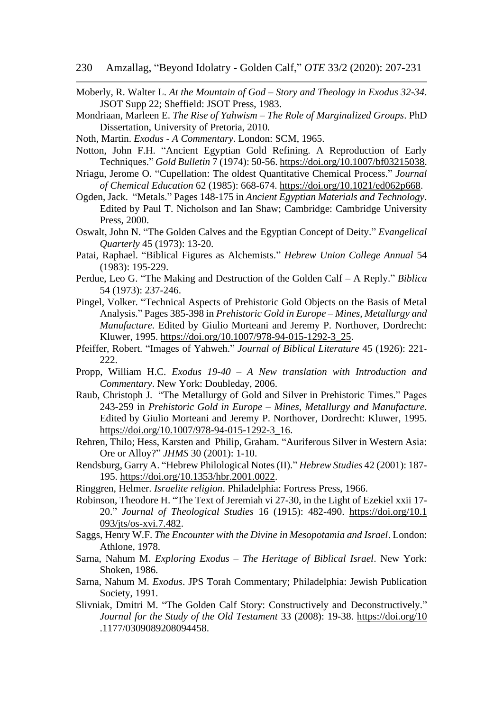- Moberly, R. Walter L. *At the Mountain of God – Story and Theology in Exodus 32-34*. JSOT Supp 22; Sheffield: JSOT Press, 1983.
- Mondriaan, Marleen E. *The Rise of Yahwism – The Role of Marginalized Groups*. PhD Dissertation, University of Pretoria, 2010.
- Noth, Martin. *Exodus A Commentary*. London: SCM, 1965.
- Notton, John F.H. "Ancient Egyptian Gold Refining. A Reproduction of Early Techniques." *Gold Bulletin* 7 (1974): 50-56. [https://doi.org/10.1007/bf03215038.](https://doi.org/10.1007/bf03215038)
- Nriagu, Jerome O. "Cupellation: The oldest Quantitative Chemical Process." *Journal of Chemical Education* 62 (1985): 668-674. [https://doi.org/10.1021/ed062p668.](https://doi.org/10.1021/ed062p668)
- Ogden, Jack. "Metals." Pages 148-175 in *Ancient Egyptian Materials and Technology*. Edited by Paul T. Nicholson and Ian Shaw; Cambridge: Cambridge University Press, 2000.
- Oswalt, John N. "The Golden Calves and the Egyptian Concept of Deity." *Evangelical Quarterly* 45 (1973): 13-20.
- Patai, Raphael. "Biblical Figures as Alchemists." *Hebrew Union College Annual* 54 (1983): 195-229.
- Perdue, Leo G. "The Making and Destruction of the Golden Calf A Reply." *Biblica* 54 (1973): 237-246.
- Pingel, Volker. "Technical Aspects of Prehistoric Gold Objects on the Basis of Metal Analysis." Pages 385-398 in *Prehistoric Gold in Europe – Mines, Metallurgy and Manufacture*. Edited by Giulio Morteani and Jeremy P. Northover, Dordrecht: Kluwer, 1995. [https://doi.org/10.1007/978-94-015-1292-3\\_25.](https://doi.org/10.1007/978-94-015-1292-3_25)
- Pfeiffer, Robert. "Images of Yahweh." *Journal of Biblical Literature* 45 (1926): 221- 222.
- Propp, William H.C. *Exodus 19-40 – A New translation with Introduction and Commentary*. New York: Doubleday, 2006.
- Raub, Christoph J. "The Metallurgy of Gold and Silver in Prehistoric Times." Pages 243-259 in *Prehistoric Gold in Europe – Mines, Metallurgy and Manufacture*. Edited by Giulio Morteani and Jeremy P. Northover, Dordrecht: Kluwer, 1995. [https://doi.org/10.1007/978-94-015-1292-3\\_16.](https://doi.org/10.1007/978-94-015-1292-3_16)
- Rehren, Thilo; Hess, Karsten and Philip, Graham. "Auriferous Silver in Western Asia: Ore or Alloy?" *JHMS* 30 (2001): 1-10.
- Rendsburg, Garry A. "Hebrew Philological Notes (II)." *Hebrew Studies* 42 (2001): 187- 195. [https://doi.org/10.1353/hbr.2001.0022.](https://doi.org/10.1353/hbr.2001.0022)
- Ringgren, Helmer. *Israelite religion*. Philadelphia: Fortress Press, 1966.
- Robinson, Theodore H. "The Text of Jeremiah vi 27-30, in the Light of Ezekiel xxii 17- 20." *Journal of Theological Studies* 16 (1915): 482-490. [https://doi.org/10.1](https://doi.org/10.1%20093/jts/os-xvi.7.482)  [093/jts/os-xvi.7.482.](https://doi.org/10.1%20093/jts/os-xvi.7.482)
- Saggs, Henry W.F. *The Encounter with the Divine in Mesopotamia and Israel*. London: Athlone, 1978.
- Sarna, Nahum M. *Exploring Exodus – The Heritage of Biblical Israel*. New York: Shoken, 1986.
- Sarna, Nahum M. *Exodus*. JPS Torah Commentary; Philadelphia: Jewish Publication Society, 1991.
- Slivniak, Dmitri M. "The Golden Calf Story: Constructively and Deconstructively." *Journal for the Study of the Old Testament* 33 (2008): 19-38. [https://doi.org/10](https://doi.org/10%20.1177/0309089208094458)  [.1177/0309089208094458.](https://doi.org/10%20.1177/0309089208094458)